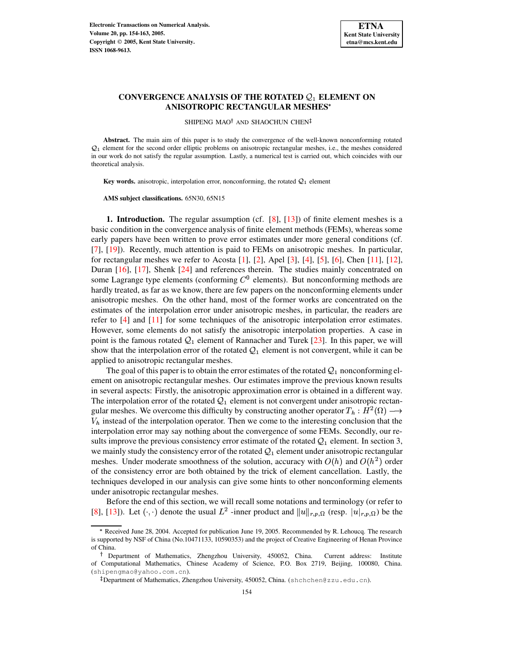

# $\textbf{CONVERGENCE ANALYSIS OF THE ROTATED } \mathcal{Q}_1$  ELEMENT ON **ANISOTROPIC RECTANGULAR MESHES**

SHIPENG MAO<sup>†</sup> AND SHAOCHUN CHEN<sup>‡</sup>

**Abstract.** The main aim of this paper is to study the convergence of the well-known nonconforming rotated  $Q_1$  element for the second order elliptic problems on anisotropic rectangular meshes, i.e., the meshes considered in our work do not satisfy the regular assumption. Lastly, a numerical test is carried out, which coincides with our theoretical analysis.

**Key words.** anisotropic, interpolation error, nonconforming, the rotated  $Q_1$  element

**AMS subject classifications.** 65N30, 65N15

**1. Introduction.** The regular assumption (cf. [\[8\]](#page-9-0), [\[13\]](#page-9-1)) of finite element meshes is a basic condition in the convergence analysis of finite element methods (FEMs), whereas some early papers have been written to prove error estimates under more general conditions (cf. [\[7\]](#page-9-2), [\[19\]](#page-9-3)). Recently, much attention is paid to FEMs on anisotropic meshes. In particular, for rectangular meshes we refer to Acosta  $[1]$ ,  $[2]$ , Apel  $[3]$ ,  $[4]$ ,  $[5]$ ,  $[6]$ , Chen  $[11]$ ,  $[12]$ , Duran [\[16\]](#page-9-8), [\[17\]](#page-9-9), Shenk [\[24\]](#page-9-10) and references therein. The studies mainly concentrated on some Lagrange type elements (conforming  $C<sup>0</sup>$  elements). But nonconforming methods are hardly treated, as far as we know, there are few papers on the nonconforming elements under anisotropic meshes. On the other hand, most of the former works are concentrated on the estimates of the interpolation error under anisotropic meshes, in particular, the readers are refer to [\[4\]](#page-8-3) and [\[11\]](#page-9-6) for some techniques of the anisotropic interpolation error estimates. However, some elements do not satisfy the anisotropic interpolation properties. A case in point is the famous rotated  $Q_1$  element of Rannacher and Turek [\[23\]](#page-9-11). In this paper, we will show that the interpolation error of the rotated  $Q_1$  element is not convergent, while it can be applied to anisotropic rectangular meshes.

The goal of this paper is to obtain the error estimates of the rotated  $Q_1$  nonconforming element on anisotropic rectangular meshes. Our estimates improve the previous known results in several aspects: Firstly, the anisotropic approximation error is obtained in a different way. The interpolation error of the rotated  $\mathcal{Q}_1$  element is not convergent under anisotropic rectangular meshes. We overcome this difficulty by constructing another operator  $T_h : H^2(\Omega) \longrightarrow$  $V<sub>h</sub>$  instead of the interpolation operator. Then we come to the interesting conclusion that the interpolation error may say nothing about the convergence of some FEMs. Secondly, our results improve the previous consistency error estimate of the rotated  $\mathcal{Q}_1$  element. In section 3, we mainly study the consistency error of the rotated  $\mathcal{Q}_1$  element under anisotropic rectangular meshes. Under moderate smoothness of the solution, accuracy with  $O(h)$  and  $O(h^2)$  order of the consistency error are both obtained by the trick of element cancellation. Lastly, the techniques developed in our analysis can give some hints to other nonconforming elements under anisotropic rectangular meshes.

Before the end of this section, we will recall some notations and terminology (or refer to [\[8\]](#page-9-0), [\[13\]](#page-9-1)). Let  $(\cdot, \cdot)$  denote the usual  $L^2$  -inner product and  $||u||_{r,p,\Omega}$  (resp.  $|u|_{r,p,\Omega}$ ) be the

<sup>8</sup> Received June 28, 2004. Accepted for publication June 19, 2005. Recommended by R. Lehoucq. The research is supported by NSF of China (No.10471133, 10590353) and the project of Creative Engineering of Henan Province of China.

Department of Mathematics, Zhengzhou University, 450052, China. Current address: Institute of Computational Mathematics, Chinese Academy of Science, P.O. Box 2719, Beijing, 100080, China. (shipengmao@yahoo.com.cn).

Department of Mathematics, Zhengzhou University, 450052, China. (shchchen@zzu.edu.cn).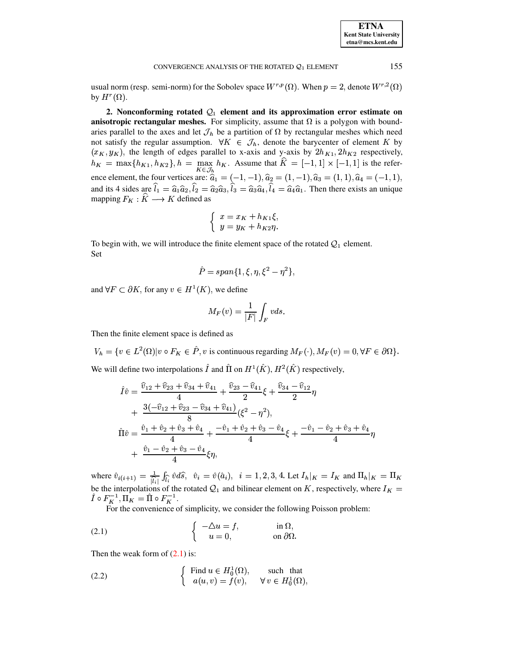| <b>ETNA</b>                  |
|------------------------------|
| <b>Kent State University</b> |
| etna@mcs.kent.edu            |

155

#### CONVERGENCE ANALYSIS OF THE ROTATED  $Q_1$  ELEMENT

usual norm (resp. semi-norm) for the Sobolev space  $W^{r,p}(\Omega)$ . When  $p = 2$ , denote  $W^{r,2}(\Omega)$ by  $H^r(\Omega)$ .

2. Nonconforming rotated  $\mathcal{Q}_1$  element and its approximation error estimate on **anisotropic rectangular meshes.** For simplicity, assume that  $\Omega$  is a polygon with boundaries parallel to the axes and let  $\mathcal{J}_h$  be a partition of  $\Omega$  by rectangular meshes which need not satisfy the regular assumption.  $\forall K \in \mathcal{J}_h$ , denote the barycenter of element K by  $(x_K, y_K)$ , the length of edges parallel to x-axis and y-axis by  $2h_{K1}$ ,  $2h_{K2}$  respectively,  $h_K = \max\{h_{K1}, h_{K2}\}, h = \max_{K \in \mathcal{J}_h} h_K$ . Assume that  $\hat{K} = [-1, 1] \times [-1, 1]$  is the reference element, the four vertices are:  $\hat{a}_1 = (-1, -1), \hat{a}_2 = (1, -1), \hat{a}_3 = (1, 1), \hat{a}_4 = (-1, 1),$ and its 4 sides are  $\hat{l}_1 = \hat{a}_1 \hat{a}_2$ ,  $\hat{l}_2 = \hat{a}_2 \hat{a}_3$ ,  $\hat{l}_3 = \hat{a}_3 \hat{a}_4$ ,  $\hat{l}_4 = \hat{a}_4 \hat{a}_1$ . Then there exists an unique mapping  $F_K : \hat{K} \longrightarrow K$  defined as

$$
\begin{cases}\nx = x_K + h_{K1}\xi, \\
y = y_K + h_{K2}\eta.\n\end{cases}
$$

To begin with, we will introduce the finite element space of the rotated  $Q_1$  element. Set

$$
\hat{P} = span\{1, \xi, \eta, \xi^2 - \eta^2\},\
$$

and  $\forall F \subset \partial K$ , for any  $v \in H^1(K)$ , we define

$$
M_F(v)=\frac{1}{|F|}\int_F vds.
$$

Then the finite element space is defined as

 $V_h = \{v \in L^2(\Omega) | v \circ F_K \in \hat{P}, v \text{ is continuous regarding } M_F(\cdot), M_F(v) = 0, \forall F \in \partial\Omega\}.$ We will define two interpolations  $\hat{I}$  and  $\hat{\Pi}$  on  $H^1(\hat{K}), H^2(\hat{K})$  respectively,

$$
\begin{aligned}\n\hat{I}\hat{v} &= \frac{\hat{v}_{12} + \hat{v}_{23} + \hat{v}_{34} + \hat{v}_{41}}{4} + \frac{\hat{v}_{23} - \hat{v}_{41}}{2}\xi + \frac{\hat{v}_{34} - \hat{v}_{12}}{2}\eta \\
&+ \frac{3(-\hat{v}_{12} + \hat{v}_{23} - \hat{v}_{34} + \hat{v}_{41})}{8}(\xi^2 - \eta^2), \\
\hat{\Pi}\hat{v} &= \frac{\hat{v}_1 + \hat{v}_2 + \hat{v}_3 + \hat{v}_4}{4} + \frac{-\hat{v}_1 + \hat{v}_2 + \hat{v}_3 - \hat{v}_4}{4}\xi + \frac{-\hat{v}_1 - \hat{v}_2 + \hat{v}_3 + \hat{v}_4}{4}\eta \\
&+ \frac{\hat{v}_1 - \hat{v}_2 + \hat{v}_3 - \hat{v}_4}{4}\xi\eta,\n\end{aligned}
$$

where  $\hat{v}_{i(i+1)} = \frac{1}{|\hat{l}_i|} \int_{\hat{l}_i} \hat{v} d\hat{s}$ ,  $\hat{v}_i = \hat{v}(\hat{a}_i)$ ,  $i = 1, 2, 3, 4$ . Let  $I_h|_K = I_K$  and  $\Pi_h|_K = \Pi_K$ be the interpolations of the rotated  $Q_1$  and bilinear element on K, respectively, where  $I_K$  $\hat{I}\circ F_K^{-1}, \bar{\Pi_K}=\hat{\Pi}\circ F_K^{-1}.$ 

<span id="page-1-0"></span>For the convenience of simplicity, we consider the following Poisson problem:

(2.1) 
$$
\begin{cases}\n-\Delta u = f, & \text{in } \Omega, \\
u = 0, & \text{on } \partial\Omega.\n\end{cases}
$$

Then the weak form of  $(2.1)$  is:

<span id="page-1-1"></span>(2.2) 
$$
\begin{cases} \text{Find } u \in H_0^1(\Omega), & \text{such that} \\ a(u,v) = f(v), & \forall v \in H_0^1(\Omega), \end{cases}
$$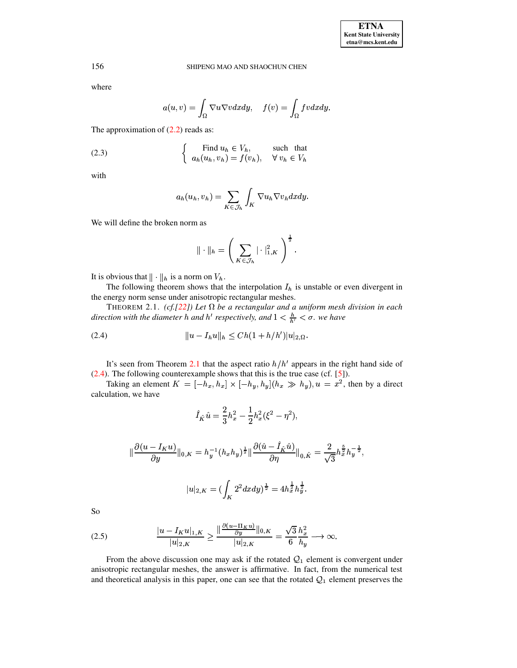### SHIPENG MAO AND SHAOCHUN CHEN

156

where

$$
a(u,v) = \int_{\Omega} \nabla u \nabla v dx dy, \quad f(v) = \int_{\Omega} fv dx dy.
$$

The approximation of  $(2.2)$  reads as:

<span id="page-2-2"></span>(2.3) 
$$
\begin{cases} \text{Find } u_h \in V_h, & \text{such that} \\ a_h(u_h, v_h) = f(v_h), & \forall v_h \in V_h \end{cases}
$$

with

$$
a_h(u_h, v_h) = \sum_{K \in \mathcal{J}_h} \int_K \nabla u_h \nabla v_h dx dy.
$$

We will define the broken norm as

<span id="page-2-0"></span>
$$
\|\cdot\|_h = \left(\sum_{K \in \mathcal{J}_h} |\cdot|^2_{1,K}\right)^{\frac{1}{2}}.
$$

It is obvious that  $\|\cdot\|_h$  is a norm on  $V_h$ .

The following theorem shows that the interpolation  $I_h$  is unstable or even divergent in the energy norm sense under anisotropic rectangular meshes.

THEOREM 2.1. (cf. [22]) Let  $\Omega$  be a rectangular and a uniform mesh division in each direction with the diameter h and h' respectively, and  $1 < \frac{h}{h'} < \sigma$ . we have

<span id="page-2-1"></span>

It's seen from Theorem 2.1 that the aspect ratio  $h/h'$  appears in the right hand side of (2.4). The following counterexample shows that this is the true case (cf. [5]).<br>Taking an element  $K = [-h_x, h_x] \times [-h_y, h_y] (h_x \gg h_y), u = x^2$ , then by a direct

calculation, we have

$$
\hat{I}_{\hat{K}}\hat{u} = \frac{2}{3}h_x^2 - \frac{1}{2}h_x^2(\xi^2 - \eta^2),
$$

$$
\|\frac{\partial(u - I_K u)}{\partial y}\|_{0,K} = h_y^{-1} (h_x h_y)^{\frac{1}{2}} \|\frac{\partial(\hat{u} - \hat{I}_{\hat{K}} \hat{u})}{\partial \eta}\|_{0,\hat{K}} = \frac{2}{\sqrt{3}} h_x^{\frac{5}{2}} h_y^{-\frac{1}{2}}
$$

$$
|u|_{2,K} = (\int_K 2^2 dx dy)^{\frac{1}{2}} = 4 h_x^{\frac{1}{2}} h_y^{\frac{1}{2}}.
$$

So

(2.5) 
$$
\frac{|u - I_K u|_{1,K}}{|u|_{2,K}} \ge \frac{\|\frac{\partial (u - \Pi_K u)}{\partial y}\|_{0,K}}{|u|_{2,K}} = \frac{\sqrt{3}}{6} \frac{h_x^2}{h_y} \longrightarrow \infty.
$$

From the above discussion one may ask if the rotated  $\mathcal{Q}_1$  element is convergent under anisotropic rectangular meshes, the answer is affirmative. In fact, from the numerical test and theoretical analysis in this paper, one can see that the rotated  $\mathcal{Q}_1$  element preserves the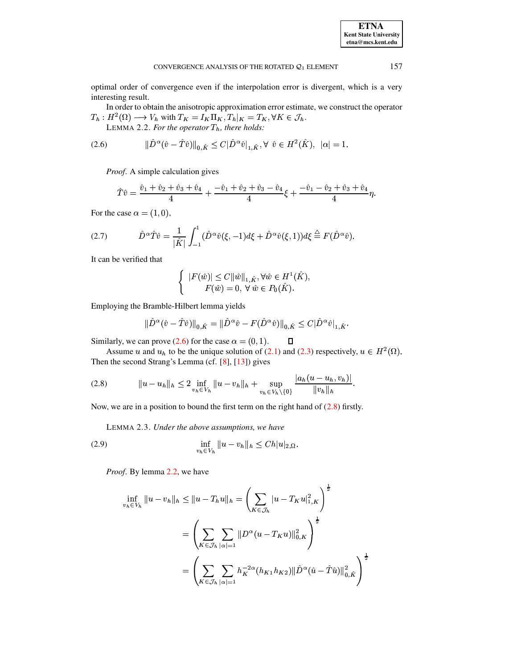optimal order of convergence even if the interpolation error is divergent, which is a very interesting result.

In order to obtain the anisotropic approximation error estimate, we construct the operator  $T_h: H^2(\Omega) \longrightarrow V_h$  with  $T_K = I_K \Pi_K, T_h|_K = T_K, \forall K \in \mathcal{J}_h$ .

<span id="page-3-2"></span>LEMMA 2.2. For the operator  $T_h$ , there holds:

<span id="page-3-0"></span>(2.6) 
$$
\|\hat{D}^{\alpha}(\hat{v} - \hat{T}\hat{v})\|_{0,\hat{K}} \leq C|\hat{D}^{\alpha}\hat{v}|_{1,\hat{K}}, \forall \ \hat{v} \in H^{2}(\hat{K}), \ |\alpha| = 1.
$$

*Proof.* A simple calculation gives

$$
\hat{T}\hat{v} = \frac{\hat{v}_1 + \hat{v}_2 + \hat{v}_3 + \hat{v}_4}{4} + \frac{-\hat{v}_1 + \hat{v}_2 + \hat{v}_3 - \hat{v}_4}{4}\xi + \frac{-\hat{v}_1 - \hat{v}_2 + \hat{v}_3 + \hat{v}_4}{4}\eta.
$$

For the case  $\alpha = (1,0)$ ,

(2.7) 
$$
\hat{D}^{\alpha}\hat{T}\hat{v} = \frac{1}{|\hat{K}|}\int_{-1}^{1}(\hat{D}^{\alpha}\hat{v}(\xi, -1)d\xi + \hat{D}^{\alpha}\hat{v}(\xi, 1))d\xi \stackrel{\triangle}{=} F(\hat{D}^{\alpha}\hat{v}).
$$

It can be verified that

$$
\begin{cases} |F(\hat{w})| \le C ||\hat{w}||_{1,\hat{K}}, \forall \hat{w} \in H^1(\hat{K}) \\ F(\hat{w}) = 0, \ \forall \ \hat{w} \in P_0(\hat{K}). \end{cases}
$$

Employing the Bramble-Hilbert lemma yields

$$
\|\hat{D}^{\alpha}(\hat{v} - \hat{T}\hat{v})\|_{0,\hat{K}} = \|\hat{D}^{\alpha}\hat{v} - F(\hat{D}^{\alpha}\hat{v})\|_{0,\hat{K}} \leq C|\hat{D}^{\alpha}\hat{v}|_{1,\hat{K}}.
$$

Similarly, we can prove (2.6) for the case  $\alpha = (0, 1)$ .  $\Box$ 

Assume u and  $u_h$  to be the unique solution of (2.1) and (2.3) respectively,  $u \in H^2(\Omega)$ . Then the second Strang's Lemma (cf. [8], [13]) gives

<span id="page-3-1"></span>
$$
(2.8) \t\t\t ||u - u_h||_h \leq 2 \inf_{v_h \in V_h} ||u - v_h||_h + \sup_{v_h \in V_h \setminus \{0\}} \frac{|a_h(u - u_h, v_h)|}{||v_h||_h}.
$$

Now, we are in a position to bound the first term on the right hand of  $(2.8)$  firstly.

<span id="page-3-3"></span>LEMMA 2.3. Under the above assumptions, we have

(2.9) 
$$
\inf_{v_h \in V_h} \|u - v_h\|_h \leq C h|u|_{2,\Omega}.
$$

*Proof.* By lemma 2.2, we have

$$
\inf_{v_h \in V_h} \|u - v_h\|_h \le \|u - T_h u\|_h = \left(\sum_{K \in \mathcal{J}_h} |u - T_K u|_{1,K}^2\right)^{\frac{1}{2}}
$$

$$
= \left(\sum_{K \in \mathcal{J}_h} \sum_{|\alpha|=1} \|D^{\alpha}(u - T_K u)\|_{0,K}^2\right)^{\frac{1}{2}}
$$

$$
= \left(\sum_{K \in \mathcal{J}_h} \sum_{|\alpha|=1} h_K^{-2\alpha}(h_{K1} h_{K2}) \|\hat{D}^{\alpha}(\hat{u} - \hat{T}\hat{u})\|_{0,\hat{K}}^2\right)^{\frac{1}{2}}
$$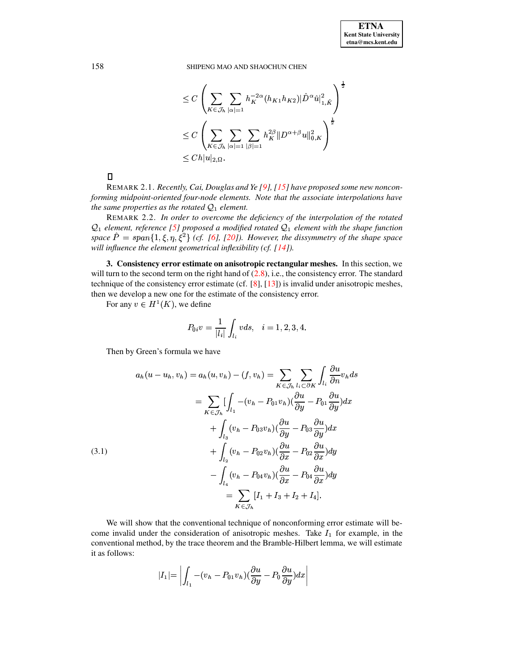SHIPENG MAO AND SHAOCHUN CHEN

$$
\leq C\left(\sum_{K\in\mathcal{J}_h}\sum_{|\alpha|=1}h_K^{-2\alpha}(h_{K1}h_{K2})|\hat{D}^{\alpha}\hat{u}|_{1,\hat{K}}^2\right)^{\frac{1}{2}}\n\leq C\left(\sum_{K\in\mathcal{J}_h}\sum_{|\alpha|=1}\sum_{|\beta|=1}h_K^{2\beta}\|D^{\alpha+\beta}u\|_{0,K}^2\right)^{\frac{1}{2}}\n\leq Ch|u|_{2,\Omega}.
$$

 $\Box$ 

REMARK 2.1. Recently, Cai, Douglas and Ye [9], [15] have proposed some new nonconforming midpoint-oriented four-node elements. Note that the associate interpolations have the same properties as the rotated  $Q_1$  element.

REMARK 2.2. In order to overcome the deficiency of the interpolation of the rotated  $\mathcal{Q}_1$  element, reference [5] proposed a modified rotated  $\mathcal{Q}_1$  element with the shape function space  $\hat{P} = span\{1, \xi, \eta, \xi^2\}$  (cf. [6], [20]). However, the dissymmetry of the shape space will influence the element geometrical inflexibility (cf.  $[14]$ ).

3. Consistency error estimate on anisotropic rectangular meshes. In this section, we will turn to the second term on the right hand of  $(2.8)$ , i.e., the consistency error. The standard technique of the consistency error estimate (cf.  $[8]$ ,  $[13]$ ) is invalid under anisotropic meshes, then we develop a new one for the estimate of the consistency error.

For any  $v \in H^1(K)$ , we define

$$
P_{0i}v = \frac{1}{|l_i|} \int_{l_i} v ds, \quad i = 1, 2, 3, 4.
$$

Then by Green's formula we have

<span id="page-4-0"></span>(3.1)  
\n
$$
a_h(u - u_h, v_h) = a_h(u, v_h) - (f, v_h) = \sum_{K \in \mathcal{J}_h} \sum_{l_i \subset \partial K} \int_{l_i} \frac{\partial u}{\partial n} v_h ds
$$
\n
$$
= \sum_{K \in \mathcal{J}_h} \left[ \int_{l_1} -(v_h - P_{01}v_h) (\frac{\partial u}{\partial y} - P_{01} \frac{\partial u}{\partial y}) dx \right. \\ \left. + \int_{l_3} (v_h - P_{03}v_h) (\frac{\partial u}{\partial y} - P_{03} \frac{\partial u}{\partial y}) dx \right. \\ \left. + \int_{l_2} (v_h - P_{02}v_h) (\frac{\partial u}{\partial x} - P_{02} \frac{\partial u}{\partial x}) dy \right. \\ \left. - \int_{l_4} (v_h - P_{04}v_h) (\frac{\partial u}{\partial x} - P_{04} \frac{\partial u}{\partial x}) dy \right. \\ \left. = \sum_{K \in \mathcal{J}_h} [I_1 + I_3 + I_2 + I_4].
$$

We will show that the conventional technique of nonconforming error estimate will become invalid under the consideration of anisotropic meshes. Take  $I_1$  for example, in the conventional method, by the trace theorem and the Bramble-Hilbert lemma, we will estimate it as follows:

$$
|I_1| = \left| \int_{l_1} -(v_h - P_{01}v_h) (\frac{\partial u}{\partial y} - P_0 \frac{\partial u}{\partial y}) dx \right|
$$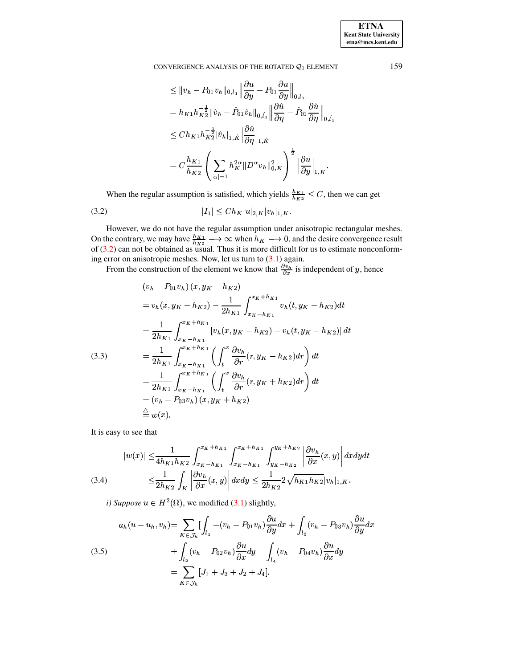**ETNA Kent State University**  $etna@mcs. kent.edu$ 

### CONVERGENCE ANALYSIS OF THE ROTATED  $Q_1$  ELEMENT

$$
\leq ||v_h - P_{01}v_h||_{0,l_1} \left\| \frac{\partial u}{\partial y} - P_{01} \frac{\partial u}{\partial y} \right\|_{0,l_1}
$$
  
\n=  $h_{K1} h_{K2}^{-\frac{1}{2}} ||\hat{v}_h - \hat{P}_{01} \hat{v}_h||_{0,\hat{l}_1} \left\| \frac{\partial \hat{u}}{\partial \eta} - \hat{P}_{01} \frac{\partial \hat{u}}{\partial \eta} \right\|_{0,\hat{l}_1}$   
\n
$$
\leq Ch_{K1} h_{K2}^{-\frac{1}{2}} ||\hat{v}_h||_{1,\hat{K}} \left\| \frac{\partial \hat{u}}{\partial \eta} \right\|_{1,\hat{K}}
$$
  
\n=  $C \frac{h_{K1}}{h_{K2}} \left( \sum_{|\alpha|=1} h_K^{2\alpha} ||D^{\alpha} v_h||_{0,K}^2 \right)^{\frac{1}{2}} \left\| \frac{\partial u}{\partial y} \right\|_{1,K}.$ 

<span id="page-5-0"></span>When the regular assumption is satisfied, which yields  $\frac{h_{K1}}{h_{K2}} \leq C$ , then we can get

$$
|I_1| \le Ch_K |u|_{2,K} |v_h|_{1,K}
$$

However, we do not have the regular assumption under anisotropic rectangular meshes.<br>On the contrary, we may have  $\frac{h_{K1}}{h_{K2}} \longrightarrow \infty$  when  $h_K \longrightarrow 0$ , and the desire convergence result of (3.2) can not be obtained as usua ing error on anisotropic meshes. Now, let us turn to  $(3.1)$  again.

From the construction of the element we know that  $\frac{\partial v_h}{\partial x}$  is independent of y, hence

<span id="page-5-1"></span>
$$
(v_h - P_{01}v_h)(x, y_K - h_{K2})
$$
  
=  $v_h(x, y_K - h_{K2}) - \frac{1}{2h_{K1}} \int_{x_K - h_{K1}}^{x_K + h_{K1}} v_h(t, y_K - h_{K2}) dt$   
=  $\frac{1}{2h_{K1}} \int_{x_K - h_{K1}}^{x_K + h_{K1}} [v_h(x, y_K - h_{K2}) - v_h(t, y_K - h_{K2})] dt$   
(3.3)  
=  $\frac{1}{2h_{K1}} \int_{x_K - h_{K1}}^{x_K + h_{K1}} \left( \int_t^x \frac{\partial v_h}{\partial r} (r, y_K - h_{K2}) dr \right) dt$   
=  $\frac{1}{2h_{K1}} \int_{x_K - h_{K1}}^{x_K + h_{K1}} \left( \int_t^x \frac{\partial v_h}{\partial r} (r, y_K + h_{K2}) dr \right) dt$   
=  $(v_h - P_{03}v_h)(x, y_K + h_{K2})$   
 $\stackrel{\triangle}{=} w(x).$ 

It is easy to see that

<span id="page-5-2"></span>
$$
|w(x)| \leq \frac{1}{4h_{K1}h_{K2}} \int_{x_{K}-h_{K1}}^{x_{K}+h_{K1}} \int_{x_{K}-h_{K1}}^{x_{K}+h_{K1}} \int_{y_{K}-h_{K2}}^{y_{K}+h_{K2}} \left| \frac{\partial v_{h}}{\partial x}(x,y) \right| dx dy dt
$$
  
(3.4) 
$$
\leq \frac{1}{2h_{K2}} \int_{K} \left| \frac{\partial v_{h}}{\partial x}(x,y) \right| dx dy \leq \frac{1}{2h_{K2}} 2\sqrt{h_{K1}h_{K2}} |v_{h}|_{1,K}.
$$

*i*) Suppose  $u \in H^2(\Omega)$ , we modified (3.1) slightly,

(3.5)  

$$
a_h(u - u_h, v_h) = \sum_{K \in \mathcal{J}_h} \left[ \int_{l_1} -(v_h - P_{01}v_h) \frac{\partial u}{\partial y} dx + \int_{l_3} (v_h - P_{03}v_h) \frac{\partial u}{\partial y} dx \right]
$$

$$
+ \int_{l_2} (v_h - P_{02}v_h) \frac{\partial u}{\partial x} dy - \int_{l_4} (v_h - P_{04}v_h) \frac{\partial u}{\partial x} dy
$$

$$
= \sum_{K \in \mathcal{J}_h} [J_1 + J_3 + J_2 + J_4].
$$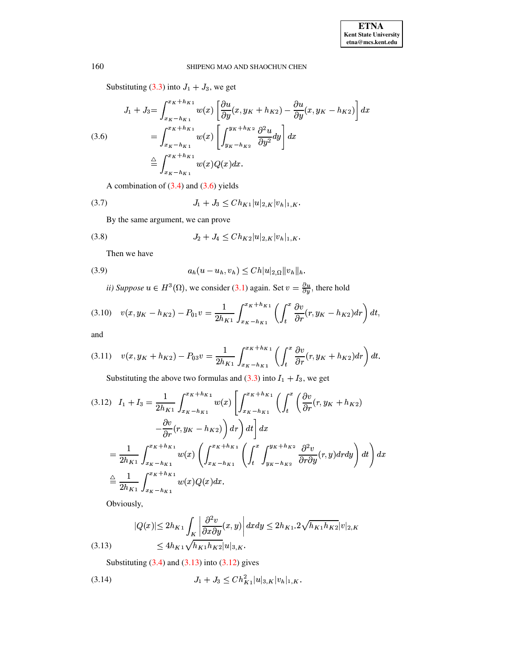Substituting (3.3) into  $J_1 + J_3$ , we get

<span id="page-6-0"></span>
$$
J_1 + J_3 = \int_{x_K - h_{K1}}^{x_K + h_{K1}} w(x) \left[ \frac{\partial u}{\partial y} (x, y_K + h_{K2}) - \frac{\partial u}{\partial y} (x, y_K - h_{K2}) \right] dx
$$
  
(3.6)  

$$
= \int_{x_K - h_{K1}}^{x_K + h_{K1}} w(x) \left[ \int_{y_K - h_{K2}}^{y_K + h_{K2}} \frac{\partial^2 u}{\partial y^2} dy \right] dx
$$
  

$$
\stackrel{\triangle}{=} \int_{x_K - h_{K1}}^{x_K + h_{K1}} w(x) Q(x) dx.
$$

A combination of  $(3.4)$  and  $(3.6)$  yields

$$
(3.7) \t\t J_1 + J_3 \leq Ch_{K1}|u|_{2,K}|v_h|_{1,K}.
$$

By the same argument, we can prove

$$
(3.8) \t\t J_2 + J_4 \leq Ch_{K2}|u|_{2,K}|v_h|_{1,K}.
$$

<span id="page-6-3"></span>Then we have

(3.9) 
$$
a_h(u - u_h, v_h) \leq Ch |u|_{2,\Omega} ||v_h||_h.
$$

*ii)* Suppose  $u \in H^3(\Omega)$ , we consider (3.1) again. Set  $v = \frac{\partial u}{\partial y}$ , there hold

$$
(3.10) \t v(x, y_K - h_{K2}) - P_{01}v = \frac{1}{2h_{K1}} \int_{x_K - h_{K1}}^{x_K + h_{K1}} \left( \int_t^x \frac{\partial v}{\partial r} (r, y_K - h_{K2}) dr \right) dt,
$$

and

$$
(3.11) \t v(x,y_K + h_{K2}) - P_{03}v = \frac{1}{2h_{K1}} \int_{x_K - h_{K1}}^{x_K + h_{K1}} \left( \int_t^x \frac{\partial v}{\partial r} (r, y_K + h_{K2}) dr \right) dt.
$$

Substituting the above two formulas and (3.3) into  $I_1 + I_3$ , we get

<span id="page-6-2"></span>
$$
(3.12) \quad I_1 + I_3 = \frac{1}{2h_{K1}} \int_{x_K - h_{K1}}^{x_K + h_{K1}} w(x) \left[ \int_{x_K - h_{K1}}^{x_K + h_{K1}} \left( \int_t^x \left( \frac{\partial v}{\partial r} (r, y_K + h_{K2}) \right) - \frac{\partial v}{\partial r} (r, y_K - h_{K2}) \right) dr \right) dt \right] dx
$$
  

$$
= \frac{1}{2h_{K1}} \int_{x_K - h_{K1}}^{x_K + h_{K1}} w(x) \left( \int_{x_K - h_{K1}}^{x_K + h_{K1}} \left( \int_t^x \int_{y_K - h_{K2}}^{y_K + h_{K2}} \frac{\partial^2 v}{\partial r \partial y} (r, y) dr dy \right) dt \right) dx
$$
  

$$
\stackrel{\triangle}{=} \frac{1}{2h_{K1}} \int_{x_K - h_{K1}}^{x_K + h_{K1}} w(x) Q(x) dx.
$$

Obviously,

<span id="page-6-1"></span>
$$
|Q(x)| \le 2h_{K1} \int_K \left| \frac{\partial^2 v}{\partial x \partial y}(x, y) \right| dx dy \le 2h_{K1} \cdot 2\sqrt{h_{K1}h_{K2}} |v|_{2,K}
$$
  
(3.13) 
$$
\le 4h_{K1} \sqrt{h_{K1}h_{K2}} |u|_{3,K}.
$$

Substituting  $(3.4)$  and  $(3.13)$  into  $(3.12)$  gives

$$
(3.14) \t\t J_1 + J_3 \le C h_{K1}^2 |u|_{3,K} |v_h|_{1,K}
$$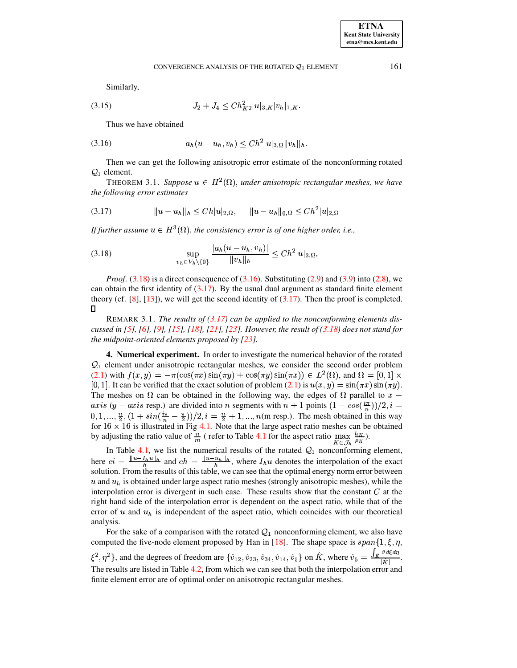Similarly,

 $(3.15)$ 

$$
J_2+J_4\leq Ch_{K2}^2|u|_{3,K}|v_h|_{1,K}.
$$

<span id="page-7-1"></span>Thus we have obtained

$$
(3.16) \t\t a_h(u - u_h, v_h) \leq Ch^2 |u|_{3,\Omega} ||v_h||_h
$$

Then we can get the following anisotropic error estimate of the nonconforming rotated  $Q_1$  element.

THEOREM 3.1. Suppose  $u \in H^2(\Omega)$ , under anisotropic rectangular meshes, we have the following error estimates

<span id="page-7-2"></span>
$$
(3.17) \t\t ||u - u_h||_h \leq Ch|u|_{2,\Omega}, \t ||u - u_h||_{0,\Omega} \leq Ch^2|u|_{2,\Omega}
$$

If further assume  $u \in H^3(\Omega)$ , the consistency error is of one higher order, i.e.,

<span id="page-7-0"></span>(3.18) 
$$
\sup_{v_h \in V_h \setminus \{0\}} \frac{|a_h(u - u_h, v_h)|}{\|v_h\|_h} \leq C h^2 |u|_{3,\Omega}.
$$

*Proof.*  $(3.18)$  is a direct consequence of  $(3.16)$ . Substituting  $(2.9)$  and  $(3.9)$  into  $(2.8)$ , we can obtain the first identity of  $(3.17)$ . By the usual dual argument as standard finite element theory (cf. [8], [13]), we will get the second identity of  $(3.17)$ . Then the proof is completed.  $\Box$ 

REMARK 3.1. The results of  $(3.17)$  can be applied to the nonconforming elements discussed in [5], [6], [9], [15], [18], [21], [23]. However, the result of  $(3.18)$  does not stand for the midpoint-oriented elements proposed by  $[23]$ .

4. Numerical experiment. In order to investigate the numerical behavior of the rotated  $\mathcal{Q}_1$  element under anisotropic rectangular meshes, we consider the second order problem  $(2.1)$  with  $f(x,y) = -\pi(\cos(\pi x)\sin(\pi y) + \cos(\pi y)\sin(\pi x)) \in L^2(\Omega)$ , and  $\Omega = [0,1] \times$ [0, 1]. It can be verified that the exact solution of problem (2.1) is  $u(x, y) = \sin(\pi x) \sin(\pi y)$ . The meshes on  $\Omega$  can be obtained in the following way, the edges of  $\Omega$  parallel to  $x$  – axis (y – axis resp.) are divided into n segments with  $n + 1$  points  $(1 - cos(\frac{i\pi}{n}))/2$ ,  $i =$  $(0, 1, ..., \frac{n}{2}, (1 + \sin(\frac{i\pi}{n} - \frac{\pi}{2}))/2, i = \frac{n}{2} + 1, ..., n$  (m resp.). The mesh obtained in this way for  $16 \times 16$  is illustrated in Fig 4.1. Note that the large aspect ratio meshes can be obtained by adjusting the ratio value of  $\frac{n}{m}$  (refer to Table 4.1 for the aspect ratio  $\max_{K \in \mathcal{J}_h} \frac{h_K}{\rho_K}$ ).

In Table 4.1, we list the numerical results of the rotated  $Q_1$  nonconforming element,<br>here  $ei = \frac{\|u - I_h u\|_h}{h}$  and  $eh = \frac{\|u - u_h\|_h}{h}$ , where  $I_h u$  denotes the interpolation of the exact solution. From the results of this table, we can see that the optimal energy norm error between  $u$  and  $u<sub>h</sub>$  is obtained under large aspect ratio meshes (strongly anisotropic meshes), while the interpolation error is divergent in such case. These results show that the constant  $C$  at the right hand side of the interpolation error is dependent on the aspect ratio, while that of the error of u and  $u<sub>h</sub>$  is independent of the aspect ratio, which coincides with our theoretical analysis.

For the sake of a comparison with the rotated  $Q_1$  nonconforming element, we also have computed the five-node element proposed by Han in [18]. The shape space is  $span\{1,\xi,\eta,$  $\{\hat{z}^2, \eta^2\}$ , and the degrees of freedom are  $\{\hat{v}_{12}, \hat{v}_{23}, \hat{v}_{34}, \hat{v}_{14}, \hat{v}_5\}$  on  $\hat{K}$ , where  $\hat{v}_5 = \frac{\int_{\hat{K}} \hat{v} d\xi d\eta}{|\hat{K}|}$ . The results are listed in Table 4.2, from which we can see that both the interpolation error and finite element error are of optimal order on anisotropic rectangular meshes.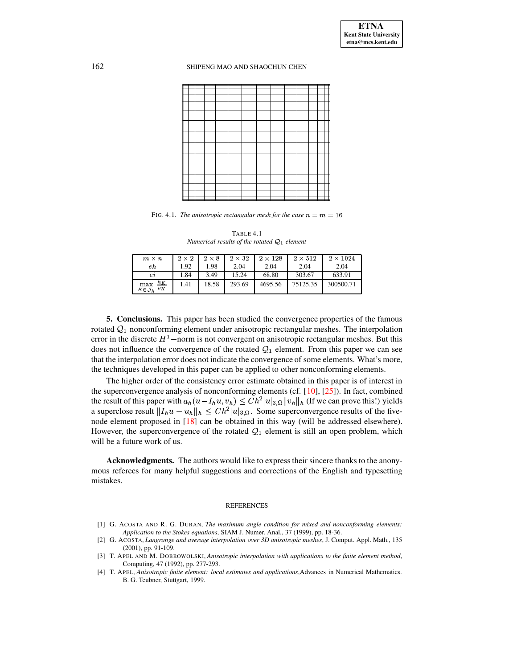#### 162 SHIPENG MAO AND SHAOCHUN CHEN

<span id="page-8-4"></span>FIG. 4.1. *The anisotropic rectangular mesh for the case*  $n = m = 16$ 

TABLE 4.1 *Numerical results of the rotated*  $Q_1$  *element* 

<span id="page-8-5"></span>

| $m \times n$                                    | $2 \times 2$ | $2 \times 8$ | $2 \times 32$ | $2 \times 128$ | $2 \times 512$ | $2 \times 1024$ |
|-------------------------------------------------|--------------|--------------|---------------|----------------|----------------|-----------------|
| еh                                              | 1.92         | .98          | 2.04          | 2.04           | 2.04           | 2.04            |
| $^{e\imath}$                                    | 1.84         | 3.49         | 15.24         | 68.80          | 303.67         | 633.91          |
| $\max_{K \in \mathcal{J}_h} \frac{h_K}{\rho_K}$ | 1.41         | 18.58        | 293.69        | 4695.56        | 75125.35       | 300500.71       |

**5. Conclusions.** This paper has been studied the convergence properties of the famous rotated  $\mathcal{Q}_1$  nonconforming element under anisotropic rectangular meshes. The interpolation error in the discrete  $H^1$  – norm is not convergent on anisotropic rectangular meshes. But this does not influence the convergence of the rotated  $\mathcal{Q}_1$  element. From this paper we can see that the interpolation error does not indicate the convergence of some elements. What's more, the techniques developed in this paper can be applied to other nonconforming elements.

The higher order of the consistency error estimate obtained in this paper is of interest in the superconvergence analysis of nonconforming elements (cf.  $[10]$ ,  $[25]$ ). In fact, combined the result of this paper with  $a_h(u - I_hu, v_h) \leq Ch^2 |u|_{3,\Omega} \|v_h\|_h$  (If we can prove this!) yields a superclose result  $||I_hu - u_h||_h \leq Ch^2|u|_{3,\Omega}$ . Some superconvergence results of the five-node element proposed in [\[18\]](#page-9-17) can be obtained in this way (will be addressed elsewhere). However, the superconvergence of the rotated  $Q_1$  element is still an open problem, which will be a future work of us.

**Acknowledgments.** The authors would like to express their sincere thanks to the anonymous referees for many helpful suggestions and corrections of the English and typesetting mistakes.

#### REFERENCES

- <span id="page-8-0"></span>[1] G. ACOSTA AND R. G. DURAN, *The maximum angle condition for mixed and nonconforming elements: Application to the Stokes equations*, SIAM J. Numer. Anal., 37 (1999), pp. 18-36.
- <span id="page-8-1"></span>[2] G. ACOSTA, *Langrange and average interpolation over 3D anisotropic meshes*, J. Comput. Appl. Math., 135 (2001), pp. 91-109.
- <span id="page-8-3"></span><span id="page-8-2"></span>[3] T. APEL AND M. DOBROWOLSKI, *Anisotropic interpolation with applications to the finite element method*, Computing, 47 (1992), pp. 277-293.
- [4] T. APEL, *Anisotropic finite element: local estimates and applications*,Advances in Numerical Mathematics. B. G. Teubner, Stuttgart, 1999.